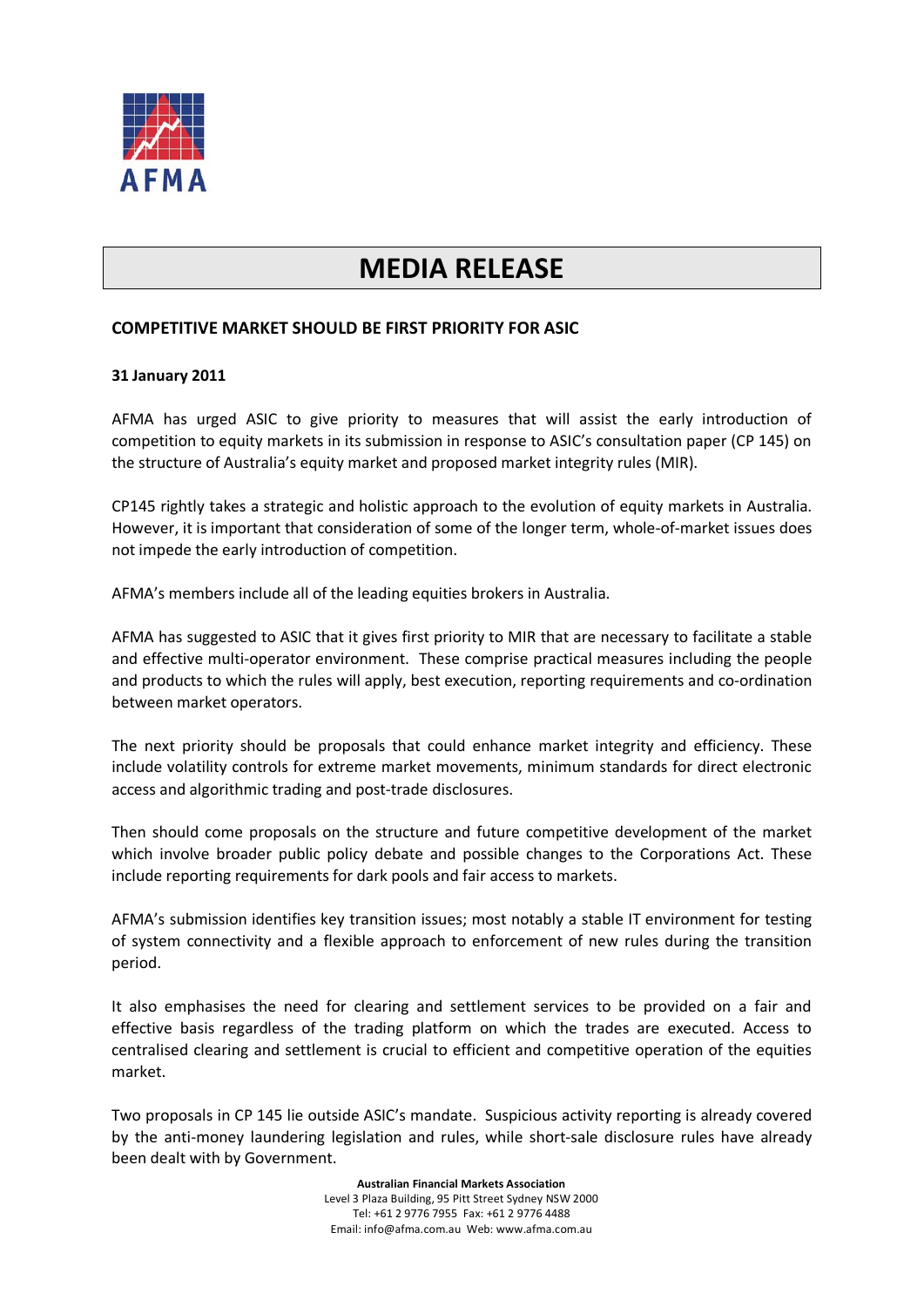

## **MEDIA RELEASE**

## **COMPETITIVE MARKET SHOULD BE FIRST PRIORITY FOR ASIC**

## **31 January 2011**

AFMA has urged ASIC to give priority to measures that will assist the early introduction of competition to equity markets in its submission in response to ASIC's consultation paper (CP 145) on the structure of Australia's equity market and proposed market integrity rules (MIR).

CP145 rightly takes a strategic and holistic approach to the evolution of equity markets in Australia. However, it is important that consideration of some of the longer term, whole-of-market issues does not impede the early introduction of competition.

AFMA's members include all of the leading equities brokers in Australia.

AFMA has suggested to ASIC that it gives first priority to MIR that are necessary to facilitate a stable and effective multi-operator environment. These comprise practical measures including the people and products to which the rules will apply, best execution, reporting requirements and co-ordination between market operators.

The next priority should be proposals that could enhance market integrity and efficiency. These include volatility controls for extreme market movements, minimum standards for direct electronic access and algorithmic trading and post-trade disclosures.

Then should come proposals on the structure and future competitive development of the market which involve broader public policy debate and possible changes to the Corporations Act. These include reporting requirements for dark pools and fair access to markets.

AFMA's submission identifies key transition issues; most notably a stable IT environment for testing of system connectivity and a flexible approach to enforcement of new rules during the transition period.

It also emphasises the need for clearing and settlement services to be provided on a fair and effective basis regardless of the trading platform on which the trades are executed. Access to centralised clearing and settlement is crucial to efficient and competitive operation of the equities market.

Two proposals in CP 145 lie outside ASIC's mandate. Suspicious activity reporting is already covered by the anti-money laundering legislation and rules, while short-sale disclosure rules have already been dealt with by Government.